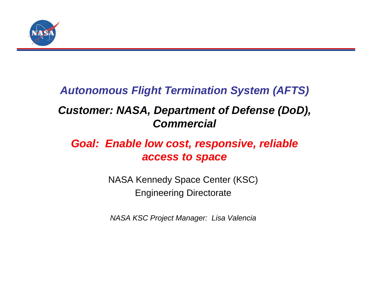

### *Autonomous Flight Termination System (AFTS)*

### *Customer: NASA, Department of Defense (DoD), Commercial*

### *Goal: Enable low cost, responsive, reliable access to space*

NASA Kennedy Space Center (KSC) Engineering Directorate

*NASA KSC Project Manager: Lisa Valencia*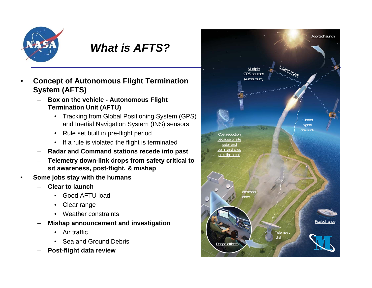

#### *What is AFTS?*

- • **Concept of Autonomous Flight Termination System (AFTS)**
	- **Box on the vehicle - Autonomous Flight Termination Unit (AFTU)**
		- • Tracking from Global Positioning System (GPS) and Inertial Navigation System (INS) sensors
		- Rule set built in pre-flight period
		- If a rule is violated the flight is terminated
	- –**Radar and Command stations recede into past**
	- **Telemetry down-link drops from safety critical to sit awareness, post-flight, & mishap**
- • **Some jobs stay with the humans**
	- **Clear to launch**
		- Good AFTU load
		- •Clear range
		- •Weather constraints
	- **Mishap announcement and investigation**
		- Air traffic
		- Sea and Ground Debris
	- **Post-flight data review**

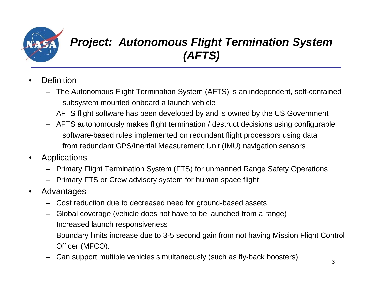

# *Project: Autonomous Flight Termination System (AFTS)*

- •**Definition** 
	- The Autonomous Flight Termination System (AFTS) is an independent, self-contained subsystem mounted onboard a launch vehicle
	- AFTS flight software has been developed by and is owned by the US Government
	- AFTS autonomously makes flight termination / destruct decisions using configurable software-based rules implemented on redundant flight processors using data from redundant GPS/Inertial Measurement Unit (IMU) navigation sensors
- • Applications
	- Primary Flight Termination System (FTS) for unmanned Range Safety Operations
	- Primary FTS or Crew advisory system for human space flight
- $\bullet$  Advantages
	- Cost reduction due to decreased need for ground-based assets
	- Global coverage (vehicle does not have to be launched from a range)
	- Increased launch responsiveness
	- Boundary limits increase due to 3-5 second gain from not having Mission Flight Control Officer (MFCO).
	- Can support multiple vehicles simultaneously (such as fly-back boosters) 3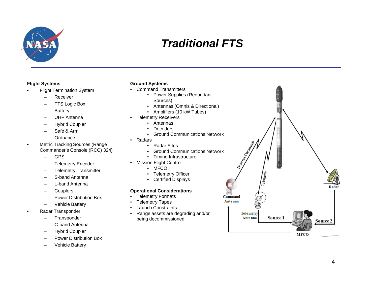

## *Traditional FTS*

#### **Flight Systems**

- • Flight Termination System
	- –Receiver
	- FTS Logic Box
	- –**Battery**
	- –UHF Antenna
	- –Hybrid Coupler
	- $\overline{\phantom{0}}$ Safe & Arm
	- –**Ordnance**
- • Metric Tracking Sources (Range Commander's Console (RCC) 324)
	- –GPS
	- Telemetry Encoder
	- –Telemetry Transmitter
	- S-band Antenna
	- L-band Antenna
	- **Couplers**
	- –Power Distribution Box
	- Vehicle Battery
- • Radar Transponder
	- –**Transponder**
	- –C-band Antenna
	- –Hybrid Coupler
	- Power Distribution Box
	- Vehicle Battery

#### **Ground Systems**

- Command Transmitters
	- Power Supplies (Redundant Sources)
	- Antennas (Omnis & Directional)
	- Amplifiers (10 kW Tubes)
- Telemetry Receivers
	- •Antennas
	- •**Decoders**
	- Ground Communications Network
- Radars
	- Radar Sites
	- Ground Communications Network
	- Timing Infrastructure
- Mission Flight Control
	- MFCO
	- Telemetry Officer
	- Certified Displays

#### **Operational Considerations**

- Telemetry Formats
- •Telemetry Tapes
- •Launch Constraints
- • Range assets are degrading and/or being decommissioned

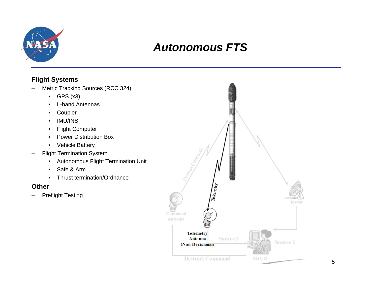

#### *Autonomous FTS*

#### **Flight Systems**

- – Metric Tracking Sources (RCC 324)
	- GPS (x3)
	- •L-band Antennas
	- •Coupler
	- •IMU/INS
	- •Flight Computer
	- •Power Distribution Box
	- Vehicle Battery
- – Flight Termination System
	- $\bullet$ Autonomous Flight Termination Unit
	- •Safe & Arm
	- •Thrust termination/Ordnance

#### **Other**

–Preflight Testing

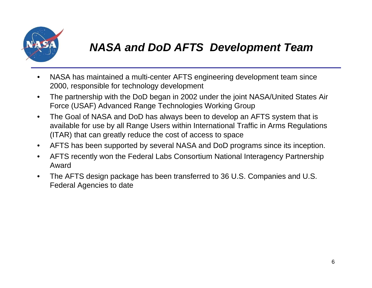

## *NASA and DoD AFTS Development Team*

- $\bullet$  NASA has maintained a multi-center AFTS engineering development team since 2000, responsible for technology development
- • The partnership with the DoD began in 2002 under the joint NASA/United States Air Force (USAF) Advanced Range Technologies Working Group
- $\bullet$  The Goal of NASA and DoD has always been to develop an AFTS system that is available for use by all Range Users within International Traffic in Arms Regulations (ITAR) that can greatly reduce the cost of access to space
- $\bullet$ AFTS has been supported by several NASA and DoD programs since its inception.
- $\bullet$  AFTS recently won the Federal Labs Consortium National Interagency Partnership Award
- $\bullet$  The AFTS design package has been transferred to 36 U.S. Companies and U.S. Federal Agencies to date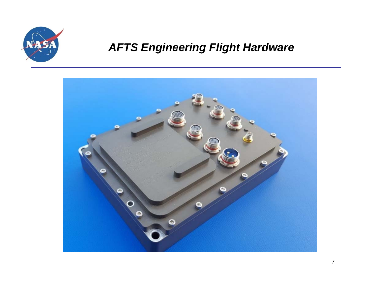

# *AFTS Engineering Flight Hardware*

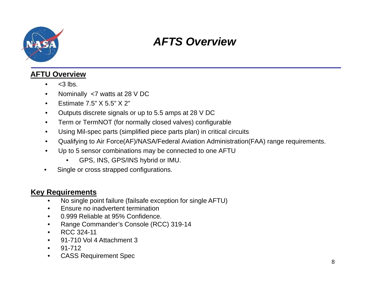

## *AFTS Overview*

#### **AFTU Overview**

- • $<$ 3 lbs.
- $\bullet$ Nominally <7 watts at 28 V DC
- $\bullet$ Estimate 7.5" X 5.5" X 2"
- $\bullet$ Outputs discrete signals or up to 5.5 amps at 28 V DC
- •Term or TermNOT (for normally closed valves) configurable
- $\bullet$ Using Mil-spec parts (simplified piece parts plan) in critical circuits
- •Qualifying to Air Force(AF)/NASA/Federal Aviation Administration(FAA) range requirements.
- • Up to 5 sensor combinations may be connected to one AFTU
	- •GPS, INS, GPS/INS hybrid or IMU.
- •Single or cross strapped configurations.

#### **Key Requirements**

- •No single point failure (failsafe exception for single AFTU)
- •Ensure no inadvertent termination
- •0.999 Reliable at 95% Confidence.
- •Range Commander's Console (RCC) 319-14
- •RCC 324-11
- $\bullet$ 91-710 Vol 4 Attachment 3
- $\bullet$ 91-712
- •CASS Requirement Spec